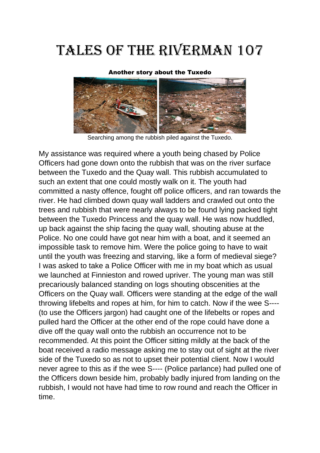## Tales Of the Riverman 107

## Another story about the Tuxedo



Searching among the rubbish piled against the Tuxedo.

My assistance was required where a youth being chased by Police Officers had gone down onto the rubbish that was on the river surface between the Tuxedo and the Quay wall. This rubbish accumulated to such an extent that one could mostly walk on it. The youth had committed a nasty offence, fought off police officers, and ran towards the river. He had climbed down quay wall ladders and crawled out onto the trees and rubbish that were nearly always to be found lying packed tight between the Tuxedo Princess and the quay wall. He was now huddled, up back against the ship facing the quay wall, shouting abuse at the Police. No one could have got near him with a boat, and it seemed an impossible task to remove him. Were the police going to have to wait until the youth was freezing and starving, like a form of medieval siege? I was asked to take a Police Officer with me in my boat which as usual we launched at Finnieston and rowed upriver. The young man was still precariously balanced standing on logs shouting obscenities at the Officers on the Quay wall. Officers were standing at the edge of the wall throwing lifebelts and ropes at him, for him to catch. Now if the wee S---- (to use the Officers jargon) had caught one of the lifebelts or ropes and pulled hard the Officer at the other end of the rope could have done a dive off the quay wall onto the rubbish an occurrence not to be recommended. At this point the Officer sitting mildly at the back of the boat received a radio message asking me to stay out of sight at the river side of the Tuxedo so as not to upset their potential client. Now I would never agree to this as if the wee S---- (Police parlance) had pulled one of the Officers down beside him, probably badly injured from landing on the rubbish, I would not have had time to row round and reach the Officer in time.